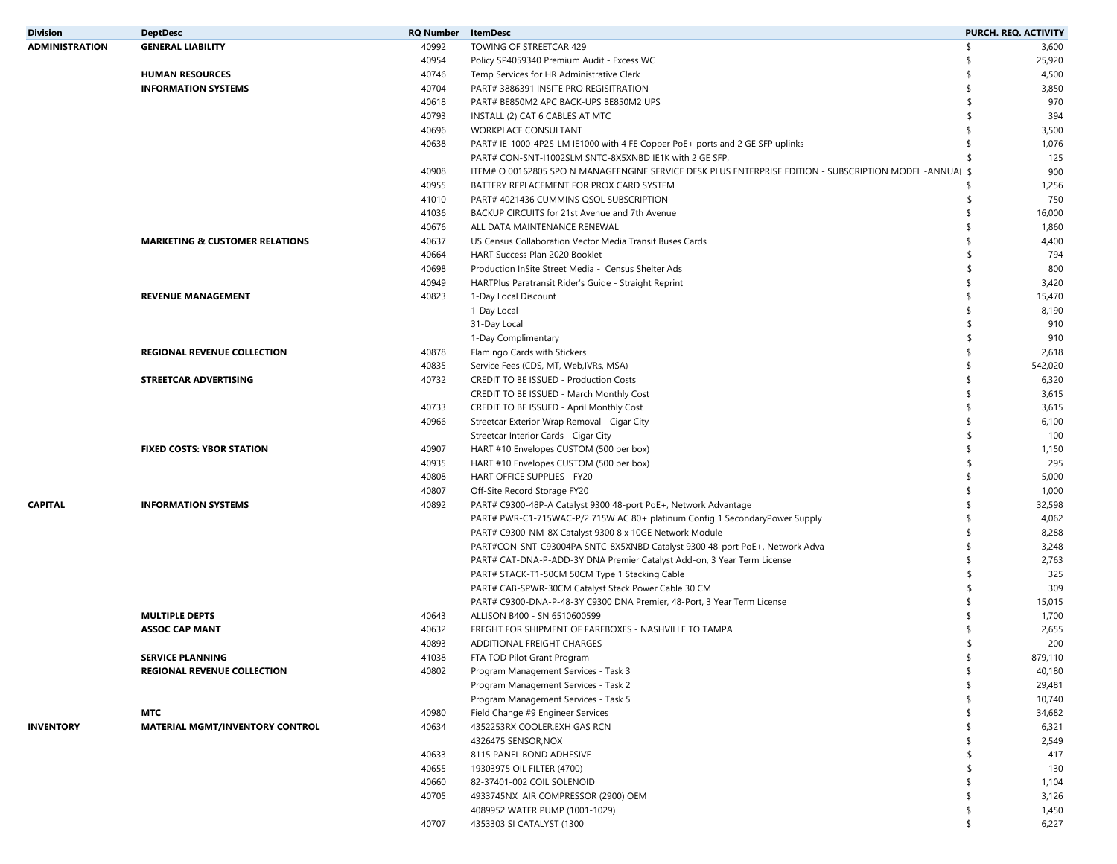| <b>Division</b>       | <b>DeptDesc</b>                           | <b>RQ Number</b> ItemDesc |                                                                                                          | PURCH. REQ. ACTIVITY    |
|-----------------------|-------------------------------------------|---------------------------|----------------------------------------------------------------------------------------------------------|-------------------------|
| <b>ADMINISTRATION</b> | <b>GENERAL LIABILITY</b>                  | 40992                     | TOWING OF STREETCAR 429                                                                                  | \$<br>3,600             |
|                       |                                           | 40954                     | Policy SP4059340 Premium Audit - Excess WC                                                               | -\$<br>25,920           |
|                       | <b>HUMAN RESOURCES</b>                    | 40746                     | Temp Services for HR Administrative Clerk                                                                | 4,500                   |
|                       | <b>INFORMATION SYSTEMS</b>                | 40704                     | PART# 3886391 INSITE PRO REGISITRATION                                                                   | \$<br>3,850             |
|                       |                                           | 40618                     | PART# BE850M2 APC BACK-UPS BE850M2 UPS                                                                   | 970                     |
|                       |                                           | 40793                     | INSTALL (2) CAT 6 CABLES AT MTC                                                                          | 394<br>\$               |
|                       |                                           | 40696                     | WORKPLACE CONSULTANT                                                                                     | 3,500<br>-\$            |
|                       |                                           | 40638                     | PART# IE-1000-4P2S-LM IE1000 with 4 FE Copper PoE+ ports and 2 GE SFP uplinks                            | 1,076<br>-\$            |
|                       |                                           |                           | PART# CON-SNT-I1002SLM SNTC-8X5XNBD IE1K with 2 GE SFP,                                                  | 125                     |
|                       |                                           | 40908                     | ITEM# O 00162805 SPO N MANAGEENGINE SERVICE DESK PLUS ENTERPRISE EDITION - SUBSCRIPTION MODEL -ANNUAI \$ | 900                     |
|                       |                                           | 40955                     | BATTERY REPLACEMENT FOR PROX CARD SYSTEM                                                                 | 1,256<br>S,             |
|                       |                                           | 41010                     | PART# 4021436 CUMMINS QSOL SUBSCRIPTION                                                                  | 750<br>Ŝ                |
|                       |                                           | 41036                     | BACKUP CIRCUITS for 21st Avenue and 7th Avenue                                                           | $\mathsf{\$}$<br>16,000 |
|                       |                                           | 40676                     | ALL DATA MAINTENANCE RENEWAL                                                                             | 1,860                   |
|                       | <b>MARKETING &amp; CUSTOMER RELATIONS</b> | 40637                     | US Census Collaboration Vector Media Transit Buses Cards                                                 | 4,400<br>S,             |
|                       |                                           | 40664                     | HART Success Plan 2020 Booklet                                                                           | 794<br>\$               |
|                       |                                           | 40698                     | Production InSite Street Media - Census Shelter Ads                                                      | 800<br>\$               |
|                       |                                           | 40949                     | HARTPlus Paratransit Rider's Guide - Straight Reprint                                                    | 3,420<br>S,             |
|                       | <b>REVENUE MANAGEMENT</b>                 | 40823                     | 1-Day Local Discount                                                                                     | 15,470<br>\$            |
|                       |                                           |                           | 1-Day Local                                                                                              | \$<br>8,190             |
|                       |                                           |                           | 31-Day Local                                                                                             | 910<br>\$               |
|                       |                                           |                           | 1-Day Complimentary                                                                                      | 910<br>\$               |
|                       |                                           | 40878                     | Flamingo Cards with Stickers                                                                             | \$<br>2,618             |
|                       | <b>REGIONAL REVENUE COLLECTION</b>        | 40835                     |                                                                                                          | 542,020<br>\$           |
|                       | STREETCAR ADVERTISING                     | 40732                     | Service Fees (CDS, MT, Web, IVRs, MSA)                                                                   | 6,320<br>-\$            |
|                       |                                           |                           | <b>CREDIT TO BE ISSUED - Production Costs</b>                                                            |                         |
|                       |                                           |                           | CREDIT TO BE ISSUED - March Monthly Cost                                                                 | 3,615<br>\$<br>\$       |
|                       |                                           | 40733                     | CREDIT TO BE ISSUED - April Monthly Cost                                                                 | 3,615<br>$\mathsf{\$}$  |
|                       |                                           | 40966                     | Streetcar Exterior Wrap Removal - Cigar City                                                             | 6,100                   |
|                       |                                           |                           | Streetcar Interior Cards - Cigar City                                                                    | 100<br>\$               |
|                       | <b>FIXED COSTS: YBOR STATION</b>          | 40907                     | HART #10 Envelopes CUSTOM (500 per box)                                                                  | 1,150<br>-\$            |
|                       |                                           | 40935                     | HART #10 Envelopes CUSTOM (500 per box)                                                                  | 295<br>\$               |
|                       |                                           | 40808                     | HART OFFICE SUPPLIES - FY20                                                                              | 5,000<br>S,             |
|                       |                                           | 40807                     | Off-Site Record Storage FY20                                                                             | 1,000<br>\$             |
| <b>CAPITAL</b>        | <b>INFORMATION SYSTEMS</b>                | 40892                     | PART# C9300-48P-A Catalyst 9300 48-port PoE+, Network Advantage                                          | \$<br>32,598            |
|                       |                                           |                           | PART# PWR-C1-715WAC-P/2 715W AC 80+ platinum Config 1 SecondaryPower Supply                              | 4,062<br>\$             |
|                       |                                           |                           | PART# C9300-NM-8X Catalyst 9300 8 x 10GE Network Module                                                  | -\$<br>8,288            |
|                       |                                           |                           | PART#CON-SNT-C93004PA SNTC-8X5XNBD Catalyst 9300 48-port PoE+, Network Adva                              | 3,248<br>\$             |
|                       |                                           |                           | PART# CAT-DNA-P-ADD-3Y DNA Premier Catalyst Add-on, 3 Year Term License                                  | \$<br>2,763             |
|                       |                                           |                           | PART# STACK-T1-50CM 50CM Type 1 Stacking Cable                                                           | 325<br>\$               |
|                       |                                           |                           | PART# CAB-SPWR-30CM Catalyst Stack Power Cable 30 CM                                                     | 309<br>\$               |
|                       |                                           |                           | PART# C9300-DNA-P-48-3Y C9300 DNA Premier, 48-Port, 3 Year Term License                                  | -\$<br>15,015           |
|                       | <b>MULTIPLE DEPTS</b>                     | 40643                     | ALLISON B400 - SN 6510600599                                                                             | 1,700                   |
|                       | <b>ASSOC CAP MANT</b>                     | 40632                     | FREGHT FOR SHIPMENT OF FAREBOXES - NASHVILLE TO TAMPA                                                    | 2,655                   |
|                       |                                           | 40893                     | ADDITIONAL FREIGHT CHARGES                                                                               | 200                     |
|                       | <b>SERVICE PLANNING</b>                   | 41038                     | FTA TOD Pilot Grant Program                                                                              | 879,110<br>-\$          |
|                       | <b>REGIONAL REVENUE COLLECTION</b>        | 40802                     | Program Management Services - Task 3                                                                     | \$<br>40,180            |
|                       |                                           |                           | Program Management Services - Task 2                                                                     | \$<br>29,481            |
|                       |                                           |                           | Program Management Services - Task 5                                                                     | $\mathsf{\$}$<br>10,740 |
|                       | MTC                                       | 40980                     | Field Change #9 Engineer Services                                                                        | 34,682<br>\$            |
| <b>INVENTORY</b>      | <b>MATERIAL MGMT/INVENTORY CONTROL</b>    | 40634                     | 4352253RX COOLER, EXH GAS RCN                                                                            | 6,321                   |
|                       |                                           |                           | 4326475 SENSOR, NOX                                                                                      | 2,549                   |
|                       |                                           | 40633                     | 8115 PANEL BOND ADHESIVE                                                                                 | 417<br>S                |
|                       |                                           | 40655                     | 19303975 OIL FILTER (4700)                                                                               | 130                     |
|                       |                                           | 40660                     | 82-37401-002 COIL SOLENOID                                                                               | 1,104<br>S,             |
|                       |                                           | 40705                     | 4933745NX AIR COMPRESSOR (2900) OEM                                                                      | 3,126<br>\$             |
|                       |                                           |                           | 4089952 WATER PUMP (1001-1029)                                                                           | 1,450<br>\$             |
|                       |                                           | 40707                     | 4353303 SI CATALYST (1300                                                                                | \$<br>6,227             |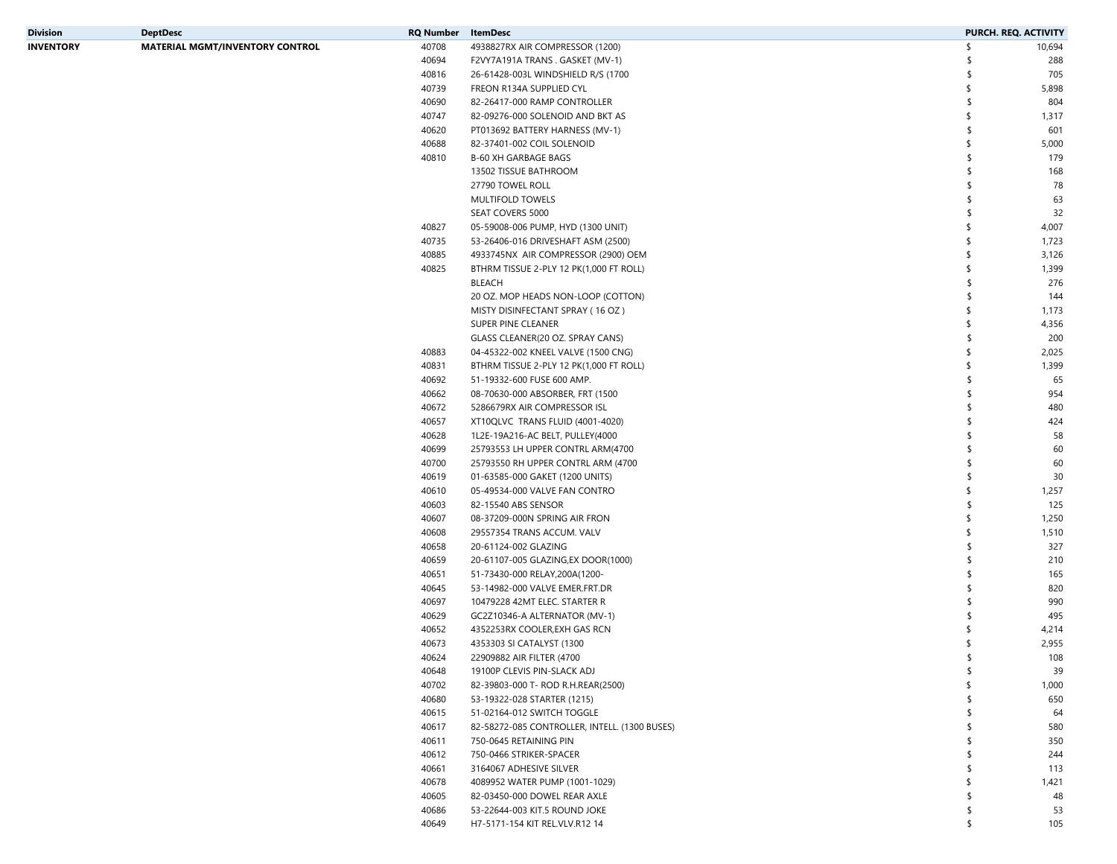| Division  | <b>DeptDesc</b>                        | RQ Number | ItemDesc                                      |               | PURCH. REQ. ACTIVITY |
|-----------|----------------------------------------|-----------|-----------------------------------------------|---------------|----------------------|
| INVENTORY | <b>MATERIAL MGMT/INVENTORY CONTROL</b> | 40708     | 4938827RX AIR COMPRESSOR (1200)               | \$            | 10,694               |
|           |                                        | 40694     | F2VY7A191A TRANS . GASKET (MV-1)              | -S            | 288                  |
|           |                                        | 40816     | 26-61428-003L WINDSHIELD R/S (1700            |               | 705                  |
|           |                                        | 40739     | FREON R134A SUPPLIED CYL                      | \$            | 5,898                |
|           |                                        | 40690     | 82-26417-000 RAMP CONTROLLER                  | \$            | 804                  |
|           |                                        | 40747     | 82-09276-000 SOLENOID AND BKT AS              | \$            | 1,317                |
|           |                                        | 40620     | PT013692 BATTERY HARNESS (MV-1)               | s.            | 601                  |
|           |                                        | 40688     | 82-37401-002 COIL SOLENOID                    | \$            | 5,000                |
|           |                                        | 40810     | <b>B-60 XH GARBAGE BAGS</b>                   | s.            | 179                  |
|           |                                        |           | 13502 TISSUE BATHROOM                         |               | 168                  |
|           |                                        |           |                                               |               |                      |
|           |                                        |           | 27790 TOWEL ROLL                              | -S            | 78                   |
|           |                                        |           | MULTIFOLD TOWELS                              | \$.           | 63                   |
|           |                                        |           | SEAT COVERS 5000                              |               | 32                   |
|           |                                        | 40827     | 05-59008-006 PUMP, HYD (1300 UNIT)            | \$            | 4,007                |
|           |                                        | 40735     | 53-26406-016 DRIVESHAFT ASM (2500)            | \$            | 1,723                |
|           |                                        | 40885     | 4933745NX AIR COMPRESSOR (2900) OEM           | \$            | 3,126                |
|           |                                        | 40825     | BTHRM TISSUE 2-PLY 12 PK(1,000 FT ROLL)       | \$            | 1,399                |
|           |                                        |           | <b>BLEACH</b>                                 | s.            | 276                  |
|           |                                        |           | 20 OZ. MOP HEADS NON-LOOP (COTTON)            | -S            | 144                  |
|           |                                        |           | MISTY DISINFECTANT SPRAY (16 OZ)              | \$            | 1,173                |
|           |                                        |           | SUPER PINE CLEANER                            | \$            | 4,356                |
|           |                                        |           | GLASS CLEANER(20 OZ. SPRAY CANS)              | -S            | 200                  |
|           |                                        | 40883     | 04-45322-002 KNEEL VALVE (1500 CNG)           | \$            | 2,025                |
|           |                                        | 40831     | BTHRM TISSUE 2-PLY 12 PK(1,000 FT ROLL)       | \$            | 1,399                |
|           |                                        | 40692     | 51-19332-600 FUSE 600 AMP.                    | s.            | 65                   |
|           |                                        | 40662     | 08-70630-000 ABSORBER, FRT (1500              | \$            | 954                  |
|           |                                        | 40672     | 5286679RX AIR COMPRESSOR ISL                  | \$            | 480                  |
|           |                                        | 40657     | XT10QLVC TRANS FLUID (4001-4020)              |               | 424                  |
|           |                                        | 40628     | 1L2E-19A216-AC BELT, PULLEY(4000              |               | 58                   |
|           |                                        | 40699     | 25793553 LH UPPER CONTRL ARM(4700             |               | 60                   |
|           |                                        | 40700     | 25793550 RH UPPER CONTRL ARM (4700            | -S            | 60                   |
|           |                                        | 40619     | 01-63585-000 GAKET (1200 UNITS)               | s.            | 30                   |
|           |                                        | 40610     | 05-49534-000 VALVE FAN CONTRO                 | \$            | 1,257                |
|           |                                        | 40603     |                                               | s.            | 125                  |
|           |                                        |           | 82-15540 ABS SENSOR                           | \$            |                      |
|           |                                        | 40607     | 08-37209-000N SPRING AIR FRON                 | \$            | 1,250                |
|           |                                        | 40608     | 29557354 TRANS ACCUM. VALV                    |               | 1,510                |
|           |                                        | 40658     | 20-61124-002 GLAZING                          | \$            | 327                  |
|           |                                        | 40659     | 20-61107-005 GLAZING, EX DOOR(1000)           | -S            | 210                  |
|           |                                        | 40651     | 51-73430-000 RELAY, 200A (1200-               |               | 165                  |
|           |                                        | 40645     | 53-14982-000 VALVE EMER.FRT.DR                |               | 820                  |
|           |                                        | 40697     | 10479228 42MT ELEC. STARTER R                 |               | 990                  |
|           |                                        | 40629     | GC2Z10346-A ALTERNATOR (MV-1)                 |               | 495                  |
|           |                                        | 40652     | 4352253RX COOLER, EXH GAS RCN                 |               | 4,214                |
|           |                                        | 40673     | 4353303 SI CATALYST (1300                     |               | 2,955                |
|           |                                        | 40624     | 22909882 AIR FILTER (4700                     | \$            | 108                  |
|           |                                        | 40648     | 19100P CLEVIS PIN-SLACK ADJ                   | \$            | 39                   |
|           |                                        | 40702     | 82-39803-000 T- ROD R.H.REAR(2500)            | $\mathsf{\$}$ | 1,000                |
|           |                                        | 40680     | 53-19322-028 STARTER (1215)                   | \$            | 650                  |
|           |                                        | 40615     | 51-02164-012 SWITCH TOGGLE                    | \$            | 64                   |
|           |                                        | 40617     | 82-58272-085 CONTROLLER, INTELL. (1300 BUSES) |               | 580                  |
|           |                                        | 40611     | 750-0645 RETAINING PIN                        | \$            | 350                  |
|           |                                        | 40612     | 750-0466 STRIKER-SPACER                       | \$            | 244                  |
|           |                                        | 40661     | 3164067 ADHESIVE SILVER                       |               | 113                  |
|           |                                        | 40678     | 4089952 WATER PUMP (1001-1029)                | \$            | 1,421                |
|           |                                        | 40605     | 82-03450-000 DOWEL REAR AXLE                  | s.            | 48                   |
|           |                                        | 40686     | 53-22644-003 KIT.5 ROUND JOKE                 | \$            | 53                   |
|           |                                        | 40649     | H7-5171-154 KIT REL.VLV.R12 14                | \$            | 105                  |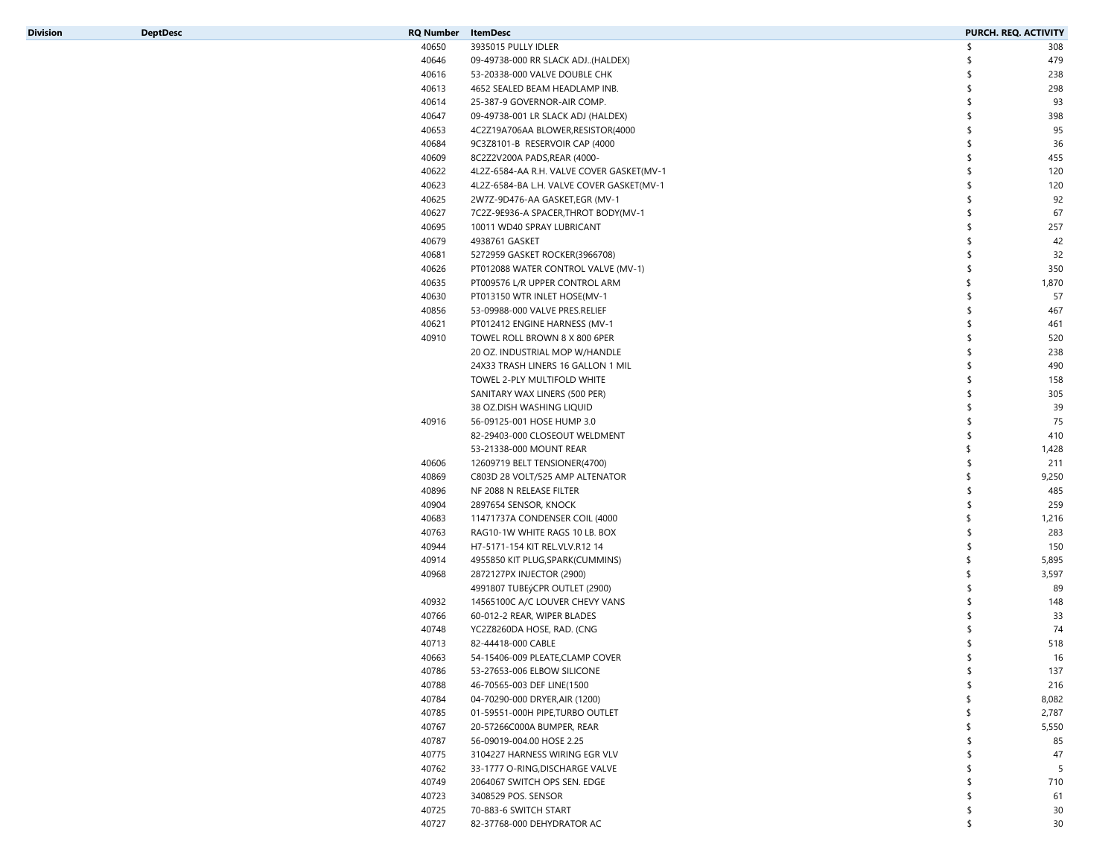| Division | <b>DeptDesc</b> | <b>RQ Number</b> | <b>ItemDesc</b>                           | PURCH. REQ. ACTIVITY |                 |
|----------|-----------------|------------------|-------------------------------------------|----------------------|-----------------|
|          |                 | 40650            | 3935015 PULLY IDLER                       | Ŝ.                   | 308             |
|          |                 | 40646            | 09-49738-000 RR SLACK ADJ(HALDEX)         |                      | 479             |
|          |                 | 40616            | 53-20338-000 VALVE DOUBLE CHK             |                      | 238             |
|          |                 | 40613            | 4652 SEALED BEAM HEADLAMP INB.            |                      | 298             |
|          |                 | 40614            | 25-387-9 GOVERNOR-AIR COMP.               |                      | 93              |
|          |                 | 40647            | 09-49738-001 LR SLACK ADJ (HALDEX)        |                      | 398             |
|          |                 | 40653            | 4C2Z19A706AA BLOWER, RESISTOR (4000       |                      | 95              |
|          |                 | 40684            | 9C3Z8101-B RESERVOIR CAP (4000            |                      | 36              |
|          |                 | 40609            | 8C2Z2V200A PADS, REAR (4000-              |                      | 455             |
|          |                 | 40622            | 4L2Z-6584-AA R.H. VALVE COVER GASKET(MV-1 |                      | 120             |
|          |                 | 40623            | 4L2Z-6584-BA L.H. VALVE COVER GASKET(MV-1 |                      | 120             |
|          |                 | 40625            | 2W7Z-9D476-AA GASKET,EGR (MV-1            |                      | 92              |
|          |                 | 40627            | 7C2Z-9E936-A SPACER, THROT BODY(MV-1      |                      | 67              |
|          |                 | 40695            | 10011 WD40 SPRAY LUBRICANT                |                      | 257             |
|          |                 |                  |                                           |                      | 42              |
|          |                 | 40679            | 4938761 GASKET                            |                      |                 |
|          |                 | 40681            | 5272959 GASKET ROCKER(3966708)            |                      | 32              |
|          |                 | 40626            | PT012088 WATER CONTROL VALVE (MV-1)       |                      | 350             |
|          |                 | 40635            | PT009576 L/R UPPER CONTROL ARM            |                      | 1,870           |
|          |                 | 40630            | PT013150 WTR INLET HOSE(MV-1              |                      | 57              |
|          |                 | 40856            | 53-09988-000 VALVE PRES.RELIEF            |                      | 467             |
|          |                 | 40621            | PT012412 ENGINE HARNESS (MV-1             |                      | 461             |
|          |                 | 40910            | TOWEL ROLL BROWN 8 X 800 6PER             |                      | 520             |
|          |                 |                  | 20 OZ. INDUSTRIAL MOP W/HANDLE            |                      | 238             |
|          |                 |                  | 24X33 TRASH LINERS 16 GALLON 1 MIL        |                      | 490             |
|          |                 |                  | TOWEL 2-PLY MULTIFOLD WHITE               |                      | 158             |
|          |                 |                  | SANITARY WAX LINERS (500 PER)             |                      | 305             |
|          |                 |                  | 38 OZ.DISH WASHING LIQUID                 |                      | 39              |
|          |                 | 40916            | 56-09125-001 HOSE HUMP 3.0                |                      | 75              |
|          |                 |                  | 82-29403-000 CLOSEOUT WELDMENT            |                      | 410             |
|          |                 |                  | 53-21338-000 MOUNT REAR                   |                      | 1,428           |
|          |                 | 40606            | 12609719 BELT TENSIONER(4700)             |                      | 211             |
|          |                 | 40869            | C803D 28 VOLT/525 AMP ALTENATOR           |                      | 9,250           |
|          |                 | 40896            | NF 2088 N RELEASE FILTER                  |                      | 485             |
|          |                 | 40904            | 2897654 SENSOR, KNOCK                     |                      | 259             |
|          |                 | 40683            | 11471737A CONDENSER COIL (4000            |                      | 1,216           |
|          |                 | 40763            | RAG10-1W WHITE RAGS 10 LB. BOX            |                      | 283             |
|          |                 | 40944            | H7-5171-154 KIT REL.VLV.R12 14            |                      | 150             |
|          |                 | 40914            | 4955850 KIT PLUG, SPARK (CUMMINS)         | \$.                  | 5,895           |
|          |                 | 40968            | 2872127PX INJECTOR (2900)                 |                      | 3,597           |
|          |                 |                  | 4991807 TUBEýCPR OUTLET (2900)            |                      | 89              |
|          |                 | 40932            | 14565100C A/C LOUVER CHEVY VANS           |                      | 148             |
|          |                 |                  | 60-012-2 REAR, WIPER BLADES               |                      |                 |
|          |                 | 40766            |                                           |                      | 33              |
|          |                 | 40748            | YC2Z8260DA HOSE, RAD. (CNG                |                      | 74              |
|          |                 | 40713            | 82-44418-000 CABLE                        |                      | 518             |
|          |                 | 40663            | 54-15406-009 PLEATE, CLAMP COVER          |                      | 16              |
|          |                 | 40786            | 53-27653-006 ELBOW SILICONE               |                      | 137             |
|          |                 | 40788            | 46-70565-003 DEF LINE(1500                |                      | 216             |
|          |                 | 40784            | 04-70290-000 DRYER, AIR (1200)            |                      | 8,082           |
|          |                 | 40785            | 01-59551-000H PIPE, TURBO OUTLET          |                      | 2,787           |
|          |                 | 40767            | 20-57266C000A BUMPER, REAR                |                      | 5,550           |
|          |                 | 40787            | 56-09019-004.00 HOSE 2.25                 |                      | 85              |
|          |                 | 40775            | 3104227 HARNESS WIRING EGR VLV            |                      | 47              |
|          |                 | 40762            | 33-1777 O-RING, DISCHARGE VALVE           |                      | 5               |
|          |                 | 40749            | 2064067 SWITCH OPS SEN. EDGE              |                      | 710             |
|          |                 | 40723            | 3408529 POS. SENSOR                       |                      | 61              |
|          |                 | 40725            | 70-883-6 SWITCH START                     |                      | 30              |
|          |                 | 40727            | 82-37768-000 DEHYDRATOR AC                |                      | 30 <sup>°</sup> |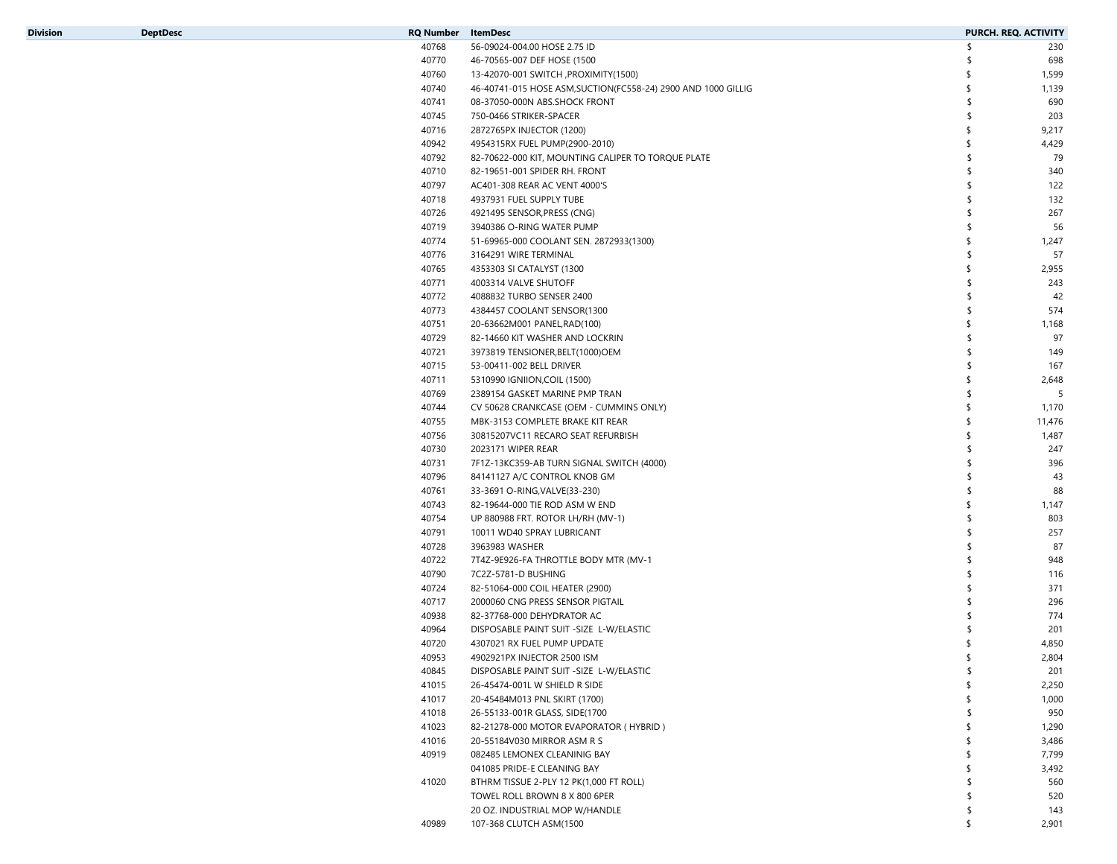| <b>Division</b> |  |  |  |
|-----------------|--|--|--|
|                 |  |  |  |

| Division | <b>DeptDesc</b> | RQ Number | ItemDesc                                                       | PURCH. REQ. ACTIVITY |        |
|----------|-----------------|-----------|----------------------------------------------------------------|----------------------|--------|
|          |                 | 40768     | 56-09024-004.00 HOSE 2.75 ID                                   | \$                   | 230    |
|          |                 | 40770     | 46-70565-007 DEF HOSE (1500                                    | -S                   | 698    |
|          |                 | 40760     | 13-42070-001 SWITCH , PROXIMITY(1500)                          | -S                   | 1,599  |
|          |                 | 40740     | 46-40741-015 HOSE ASM, SUCTION (FC558-24) 2900 AND 1000 GILLIG |                      | 1,139  |
|          |                 | 40741     | 08-37050-000N ABS.SHOCK FRONT                                  | -S                   | 690    |
|          |                 | 40745     | 750-0466 STRIKER-SPACER                                        | \$                   | 203    |
|          |                 | 40716     | 2872765PX INJECTOR (1200)                                      | \$                   | 9,217  |
|          |                 | 40942     | 4954315RX FUEL PUMP(2900-2010)                                 |                      | 4,429  |
|          |                 | 40792     | 82-70622-000 KIT, MOUNTING CALIPER TO TORQUE PLATE             | -S                   | 79     |
|          |                 | 40710     | 82-19651-001 SPIDER RH. FRONT                                  | -S                   | 340    |
|          |                 | 40797     | AC401-308 REAR AC VENT 4000'S                                  | \$                   | 122    |
|          |                 | 40718     | 4937931 FUEL SUPPLY TUBE                                       | -S                   | 132    |
|          |                 | 40726     | 4921495 SENSOR, PRESS (CNG)                                    | \$                   | 267    |
|          |                 | 40719     | 3940386 O-RING WATER PUMP                                      | \$                   | 56     |
|          |                 | 40774     | 51-69965-000 COOLANT SEN. 2872933(1300)                        |                      | 1,247  |
|          |                 | 40776     | 3164291 WIRE TERMINAL                                          | -S                   | 57     |
|          |                 | 40765     | 4353303 SI CATALYST (1300                                      | \$                   | 2,955  |
|          |                 | 40771     | 4003314 VALVE SHUTOFF                                          |                      | 243    |
|          |                 | 40772     | 4088832 TURBO SENSER 2400                                      |                      | 42     |
|          |                 | 40773     | 4384457 COOLANT SENSOR(1300                                    | -S                   | 574    |
|          |                 | 40751     | 20-63662M001 PANEL, RAD(100)                                   |                      | 1,168  |
|          |                 | 40729     | 82-14660 KIT WASHER AND LOCKRIN                                | ⊀                    | 97     |
|          |                 | 40721     | 3973819 TENSIONER, BELT (1000) OEM                             | -S                   | 149    |
|          |                 | 40715     | 53-00411-002 BELL DRIVER                                       | \$                   | 167    |
|          |                 | 40711     | 5310990 IGNIION, COIL (1500)                                   | \$                   | 2,648  |
|          |                 | 40769     | 2389154 GASKET MARINE PMP TRAN                                 | -S                   | 5      |
|          |                 | 40744     |                                                                | \$                   | 1,170  |
|          |                 |           | CV 50628 CRANKCASE (OEM - CUMMINS ONLY)                        | \$                   |        |
|          |                 | 40755     | MBK-3153 COMPLETE BRAKE KIT REAR                               |                      | 11,476 |
|          |                 | 40756     | 30815207VC11 RECARO SEAT REFURBISH                             |                      | 1,487  |
|          |                 | 40730     | 2023171 WIPER REAR                                             | -S                   | 247    |
|          |                 | 40731     | 7F1Z-13KC359-AB TURN SIGNAL SWITCH (4000)                      | \$                   | 396    |
|          |                 | 40796     | 84141127 A/C CONTROL KNOB GM                                   | \$                   | 43     |
|          |                 | 40761     | 33-3691 O-RING, VALVE (33-230)                                 | ⊀                    | 88     |
|          |                 | 40743     | 82-19644-000 TIE ROD ASM W END                                 | \$                   | 1,147  |
|          |                 | 40754     | UP 880988 FRT. ROTOR LH/RH (MV-1)                              | \$                   | 803    |
|          |                 | 40791     | 10011 WD40 SPRAY LUBRICANT                                     | \$                   | 257    |
|          |                 | 40728     | 3963983 WASHER                                                 | -S                   | 87     |
|          |                 | 40722     | 7T4Z-9E926-FA THROTTLE BODY MTR (MV-1                          | ⊀                    | 948    |
|          |                 | 40790     | 7C2Z-5781-D BUSHING                                            | \$                   | 116    |
|          |                 | 40724     | 82-51064-000 COIL HEATER (2900)                                |                      | 371    |
|          |                 | 40717     | 2000060 CNG PRESS SENSOR PIGTAIL                               |                      | 296    |
|          |                 | 40938     | 82-37768-000 DEHYDRATOR AC                                     | \$                   | 774    |
|          |                 | 40964     | DISPOSABLE PAINT SUIT -SIZE L-W/ELASTIC                        |                      | 201    |
|          |                 | 40720     | 4307021 RX FUEL PUMP UPDATE                                    |                      | 4,850  |
|          |                 | 40953     | 4902921PX INJECTOR 2500 ISM                                    | \$                   | 2,804  |
|          |                 | 40845     | DISPOSABLE PAINT SUIT -SIZE L-W/ELASTIC                        | \$                   | 201    |
|          |                 | 41015     | 26-45474-001L W SHIELD R SIDE                                  | \$                   | 2,250  |
|          |                 | 41017     | 20-45484M013 PNL SKIRT (1700)                                  |                      | 1,000  |
|          |                 | 41018     | 26-55133-001R GLASS, SIDE(1700                                 |                      | 950    |
|          |                 | 41023     | 82-21278-000 MOTOR EVAPORATOR (HYBRID)                         |                      | 1,290  |
|          |                 | 41016     | 20-55184V030 MIRROR ASM R S                                    |                      | 3,486  |
|          |                 | 40919     | 082485 LEMONEX CLEANINIG BAY                                   |                      | 7,799  |
|          |                 |           | 041085 PRIDE-E CLEANING BAY                                    |                      | 3,492  |
|          |                 | 41020     | BTHRM TISSUE 2-PLY 12 PK(1,000 FT ROLL)                        |                      | 560    |
|          |                 |           | TOWEL ROLL BROWN 8 X 800 6PER                                  |                      | 520    |
|          |                 |           | 20 OZ. INDUSTRIAL MOP W/HANDLE                                 | Ŝ                    | 143    |
|          |                 | 40989     | 107-368 CLUTCH ASM(1500                                        | \$                   | 2,901  |
|          |                 |           |                                                                |                      |        |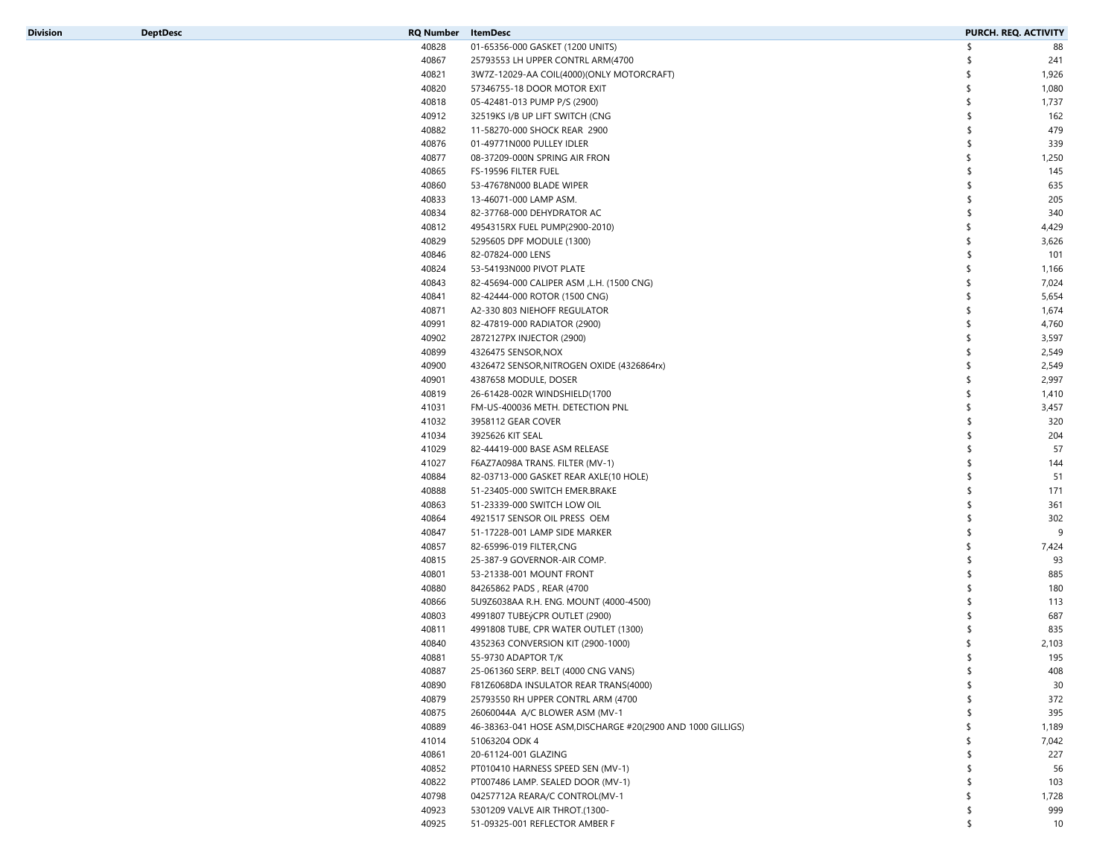|  | RO Number | lteml |  |
|--|-----------|-------|--|
|  |           |       |  |
|  |           |       |  |

| Division | <b>DeptDesc</b> | RQ Number | <b>ItemDesc</b>                                             | PURCH. REQ. ACTIVITY |       |
|----------|-----------------|-----------|-------------------------------------------------------------|----------------------|-------|
|          |                 | 40828     | 01-65356-000 GASKET (1200 UNITS)                            |                      | 88    |
|          |                 | 40867     | 25793553 LH UPPER CONTRL ARM(4700                           |                      | 241   |
|          |                 | 40821     | 3W7Z-12029-AA COIL(4000)(ONLY MOTORCRAFT)                   | S                    | 1,926 |
|          |                 | 40820     | 57346755-18 DOOR MOTOR EXIT                                 | \$                   | 1,080 |
|          |                 | 40818     | 05-42481-013 PUMP P/S (2900)                                |                      | 1,737 |
|          |                 | 40912     | 32519KS I/B UP LIFT SWITCH (CNG                             |                      | 162   |
|          |                 | 40882     | 11-58270-000 SHOCK REAR 2900                                |                      | 479   |
|          |                 | 40876     | 01-49771N000 PULLEY IDLER                                   |                      | 339   |
|          |                 | 40877     | 08-37209-000N SPRING AIR FRON                               |                      | 1,250 |
|          |                 | 40865     | FS-19596 FILTER FUEL                                        |                      | 145   |
|          |                 | 40860     | 53-47678N000 BLADE WIPER                                    |                      | 635   |
|          |                 | 40833     | 13-46071-000 LAMP ASM.                                      |                      | 205   |
|          |                 | 40834     | 82-37768-000 DEHYDRATOR AC                                  |                      | 340   |
|          |                 | 40812     | 4954315RX FUEL PUMP(2900-2010)                              |                      | 4,429 |
|          |                 | 40829     | 5295605 DPF MODULE (1300)                                   |                      | 3,626 |
|          |                 | 40846     | 82-07824-000 LENS                                           |                      | 101   |
|          |                 | 40824     | 53-54193N000 PIVOT PLATE                                    |                      |       |
|          |                 |           |                                                             |                      | 1,166 |
|          |                 | 40843     | 82-45694-000 CALIPER ASM , L.H. (1500 CNG)                  |                      | 7,024 |
|          |                 | 40841     | 82-42444-000 ROTOR (1500 CNG)                               |                      | 5,654 |
|          |                 | 40871     | A2-330 803 NIEHOFF REGULATOR                                |                      | 1,674 |
|          |                 | 40991     | 82-47819-000 RADIATOR (2900)                                |                      | 4,760 |
|          |                 | 40902     | 2872127PX INJECTOR (2900)                                   |                      | 3,597 |
|          |                 | 40899     | 4326475 SENSOR, NOX                                         |                      | 2,549 |
|          |                 | 40900     | 4326472 SENSOR, NITROGEN OXIDE (4326864rx)                  | ≮                    | 2,549 |
|          |                 | 40901     | 4387658 MODULE, DOSER                                       | \$                   | 2,997 |
|          |                 | 40819     | 26-61428-002R WINDSHIELD(1700                               |                      | 1,410 |
|          |                 | 41031     | FM-US-400036 METH. DETECTION PNL                            |                      | 3,457 |
|          |                 | 41032     | 3958112 GEAR COVER                                          |                      | 320   |
|          |                 | 41034     | 3925626 KIT SEAL                                            |                      | 204   |
|          |                 | 41029     | 82-44419-000 BASE ASM RELEASE                               |                      | 57    |
|          |                 | 41027     | F6AZ7A098A TRANS. FILTER (MV-1)                             |                      | 144   |
|          |                 | 40884     | 82-03713-000 GASKET REAR AXLE(10 HOLE)                      |                      | 51    |
|          |                 | 40888     | 51-23405-000 SWITCH EMER.BRAKE                              |                      | 171   |
|          |                 | 40863     | 51-23339-000 SWITCH LOW OIL                                 |                      | 361   |
|          |                 | 40864     | 4921517 SENSOR OIL PRESS OEM                                |                      | 302   |
|          |                 | 40847     | 51-17228-001 LAMP SIDE MARKER                               |                      | 9     |
|          |                 | 40857     | 82-65996-019 FILTER,CNG                                     |                      | 7,424 |
|          |                 | 40815     | 25-387-9 GOVERNOR-AIR COMP.                                 |                      | 93    |
|          |                 | 40801     | 53-21338-001 MOUNT FRONT                                    |                      | 885   |
|          |                 | 40880     | 84265862 PADS, REAR (4700                                   |                      | 180   |
|          |                 | 40866     | 5U9Z6038AA R.H. ENG. MOUNT (4000-4500)                      |                      | 113   |
|          |                 | 40803     | 4991807 TUBEýCPR OUTLET (2900)                              |                      | 687   |
|          |                 | 40811     | 4991808 TUBE, CPR WATER OUTLET (1300)                       |                      | 835   |
|          |                 | 40840     | 4352363 CONVERSION KIT (2900-1000)                          | S                    | 2,103 |
|          |                 | 40881     | 55-9730 ADAPTOR T/K                                         |                      | 195   |
|          |                 | 40887     | 25-061360 SERP. BELT (4000 CNG VANS)                        |                      | 408   |
|          |                 | 40890     | F81Z6068DA INSULATOR REAR TRANS(4000)                       |                      | 30    |
|          |                 | 40879     | 25793550 RH UPPER CONTRL ARM (4700                          |                      | 372   |
|          |                 | 40875     | 26060044A A/C BLOWER ASM (MV-1                              |                      | 395   |
|          |                 | 40889     | 46-38363-041 HOSE ASM, DISCHARGE #20(2900 AND 1000 GILLIGS) |                      | 1,189 |
|          |                 | 41014     | 51063204 ODK 4                                              |                      | 7,042 |
|          |                 | 40861     | 20-61124-001 GLAZING                                        |                      | 227   |
|          |                 | 40852     | PT010410 HARNESS SPEED SEN (MV-1)                           |                      | 56    |
|          |                 | 40822     |                                                             |                      |       |
|          |                 |           | PT007486 LAMP. SEALED DOOR (MV-1)                           |                      | 103   |
|          |                 | 40798     | 04257712A REARA/C CONTROL(MV-1                              |                      | 1,728 |
|          |                 | 40923     | 5301209 VALVE AIR THROT.(1300-                              |                      | 999   |
|          |                 | 40925     | 51-09325-001 REFLECTOR AMBER F                              |                      | 10    |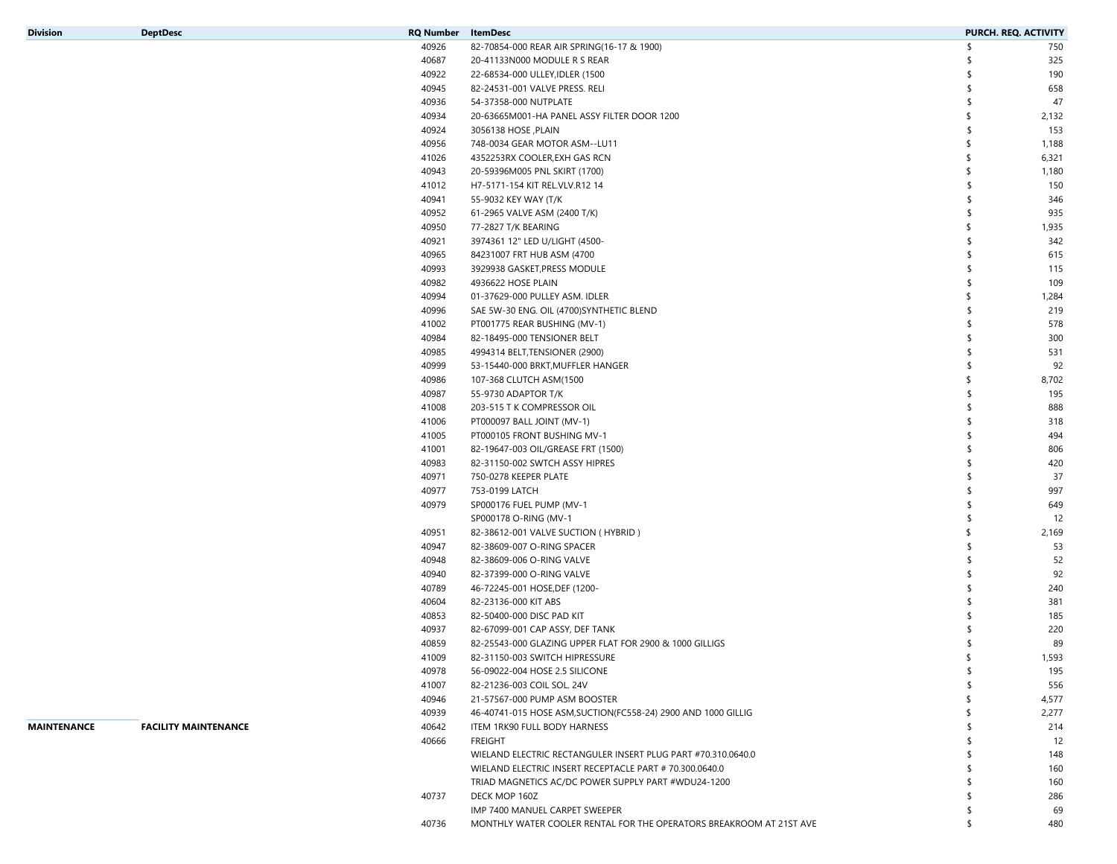| <b>Division</b> |  |  |  |  |
|-----------------|--|--|--|--|
|                 |  |  |  |  |

| Division    | <b>DeptDesc</b>             | <b>RQ Number</b> | ItemDesc                                                            | PURCH. REQ. ACTIVITY |       |
|-------------|-----------------------------|------------------|---------------------------------------------------------------------|----------------------|-------|
|             |                             | 40926            | 82-70854-000 REAR AIR SPRING(16-17 & 1900)                          | \$                   | 750   |
|             |                             | 40687            | 20-41133N000 MODULE R S REAR                                        | -S                   | 325   |
|             |                             | 40922            | 22-68534-000 ULLEY, IDLER (1500                                     | \$                   | 190   |
|             |                             | 40945            | 82-24531-001 VALVE PRESS. RELI                                      | \$                   | 658   |
|             |                             | 40936            | 54-37358-000 NUTPLATE                                               | \$                   | 47    |
|             |                             | 40934            | 20-63665M001-HA PANEL ASSY FILTER DOOR 1200                         |                      | 2,132 |
|             |                             | 40924            | 3056138 HOSE, PLAIN                                                 |                      | 153   |
|             |                             | 40956            | 748-0034 GEAR MOTOR ASM--LU11                                       |                      | 1,188 |
|             |                             | 41026            | 4352253RX COOLER, EXH GAS RCN                                       |                      | 6,321 |
|             |                             | 40943            | 20-59396M005 PNL SKIRT (1700)                                       |                      | 1,180 |
|             |                             | 41012            | H7-5171-154 KIT REL.VLV.R12 14                                      |                      | 150   |
|             |                             | 40941            | 55-9032 KEY WAY (T/K                                                | \$                   | 346   |
|             |                             | 40952            | 61-2965 VALVE ASM (2400 T/K)                                        | -S                   | 935   |
|             |                             | 40950            | 77-2827 T/K BEARING                                                 |                      | 1,935 |
|             |                             | 40921            | 3974361 12" LED U/LIGHT (4500-                                      |                      | 342   |
|             |                             | 40965            | 84231007 FRT HUB ASM (4700                                          | \$                   | 615   |
|             |                             | 40993            | 3929938 GASKET, PRESS MODULE                                        |                      | 115   |
|             |                             | 40982            | 4936622 HOSE PLAIN                                                  |                      | 109   |
|             |                             | 40994            | 01-37629-000 PULLEY ASM. IDLER                                      |                      | 1,284 |
|             |                             | 40996            | SAE 5W-30 ENG. OIL (4700)SYNTHETIC BLEND                            | -S                   | 219   |
|             |                             | 41002            | PT001775 REAR BUSHING (MV-1)                                        |                      | 578   |
|             |                             | 40984            | 82-18495-000 TENSIONER BELT                                         |                      | 300   |
|             |                             | 40985            | 4994314 BELT, TENSIONER (2900)                                      | \$                   | 531   |
|             |                             | 40999            | 53-15440-000 BRKT, MUFFLER HANGER                                   | \$                   | 92    |
|             |                             | 40986            | 107-368 CLUTCH ASM(1500                                             |                      | 8,702 |
|             |                             | 40987            | 55-9730 ADAPTOR T/K                                                 |                      | 195   |
|             |                             | 41008            | 203-515 T K COMPRESSOR OIL                                          | -S                   | 888   |
|             |                             | 41006            | PT000097 BALL JOINT (MV-1)                                          |                      | 318   |
|             |                             | 41005            | PT000105 FRONT BUSHING MV-1                                         |                      | 494   |
|             |                             | 41001            | 82-19647-003 OIL/GREASE FRT (1500)                                  | \$                   | 806   |
|             |                             | 40983            | 82-31150-002 SWTCH ASSY HIPRES                                      |                      | 420   |
|             |                             | 40971            | 750-0278 KEEPER PLATE                                               |                      | 37    |
|             |                             | 40977            | 753-0199 LATCH                                                      |                      | 997   |
|             |                             | 40979            | SP000176 FUEL PUMP (MV-1                                            | -S                   | 649   |
|             |                             |                  | SP000178 O-RING (MV-1                                               | \$                   | 12    |
|             |                             | 40951            | 82-38612-001 VALVE SUCTION (HYBRID)                                 |                      | 2,169 |
|             |                             | 40947            | 82-38609-007 O-RING SPACER                                          |                      | 53    |
|             |                             | 40948            | 82-38609-006 O-RING VALVE                                           | \$                   | 52    |
|             |                             | 40940            | 82-37399-000 O-RING VALVE                                           |                      | 92    |
|             |                             | 40789            | 46-72245-001 HOSE, DEF (1200-                                       |                      | 240   |
|             |                             | 40604            | 82-23136-000 KIT ABS                                                | \$                   | 381   |
|             |                             | 40853            | 82-50400-000 DISC PAD KIT                                           |                      | 185   |
|             |                             | 40937            | 82-67099-001 CAP ASSY, DEF TANK                                     |                      | 220   |
|             |                             | 40859            | 82-25543-000 GLAZING UPPER FLAT FOR 2900 & 1000 GILLIGS             | S.                   | 89    |
|             |                             | 41009            | 82-31150-003 SWITCH HIPRESSURE                                      |                      | 1,593 |
|             |                             | 40978            | 56-09022-004 HOSE 2.5 SILICONE                                      | -S                   | 195   |
|             |                             | 41007            | 82-21236-003 COIL SOL. 24V                                          |                      | 556   |
|             |                             | 40946            | 21-57567-000 PUMP ASM BOOSTER                                       |                      | 4,577 |
|             |                             | 40939            | 46-40741-015 HOSE ASM, SUCTION (FC558-24) 2900 AND 1000 GILLIG      |                      | 2,277 |
| MAINTENANCE | <b>FACILITY MAINTENANCE</b> | 40642            | ITEM 1RK90 FULL BODY HARNESS                                        |                      | 214   |
|             |                             | 40666            | FREIGHT                                                             |                      | 12    |
|             |                             |                  | WIELAND ELECTRIC RECTANGULER INSERT PLUG PART #70.310.0640.0        |                      | 148   |
|             |                             |                  | WIELAND ELECTRIC INSERT RECEPTACLE PART # 70.300.0640.0             |                      | 160   |
|             |                             |                  | TRIAD MAGNETICS AC/DC POWER SUPPLY PART #WDU24-1200                 |                      | 160   |
|             |                             | 40737            | DECK MOP 160Z                                                       |                      | 286   |
|             |                             |                  | IMP 7400 MANUEL CARPET SWEEPER                                      |                      | 69    |
|             |                             | 40736            | MONTHLY WATER COOLER RENTAL FOR THE OPERATORS BREAKROOM AT 21ST AVE | ՟հ                   | 480   |
|             |                             |                  |                                                                     |                      |       |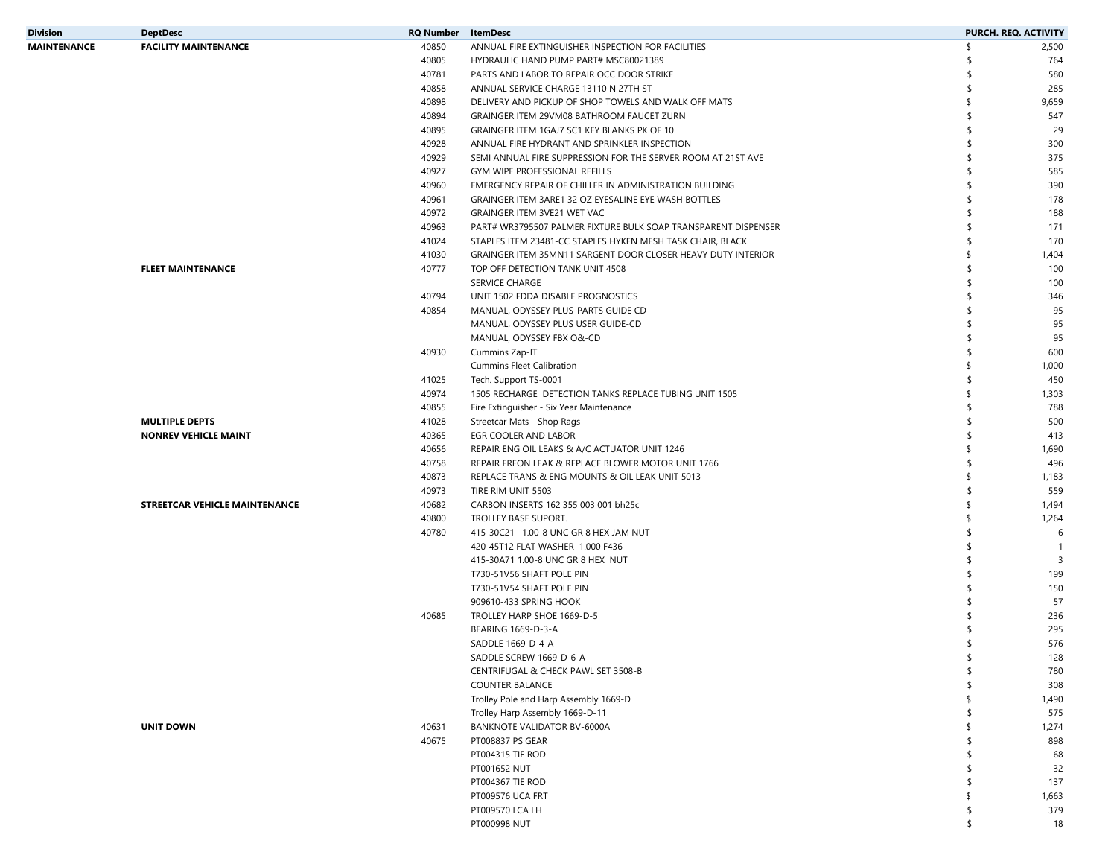| Division    | <b>DeptDesc</b>               | <b>RQ Number</b> ItemDesc |                                                                | PURCH. REQ. ACTIVITY |                         |
|-------------|-------------------------------|---------------------------|----------------------------------------------------------------|----------------------|-------------------------|
| MAINTENANCE | <b>FACILITY MAINTENANCE</b>   | 40850                     | ANNUAL FIRE EXTINGUISHER INSPECTION FOR FACILITIES             | \$<br>2,500          |                         |
|             |                               | 40805                     | HYDRAULIC HAND PUMP PART# MSC80021389                          | 764<br>՟հ            |                         |
|             |                               | 40781                     | PARTS AND LABOR TO REPAIR OCC DOOR STRIKE                      | 580                  |                         |
|             |                               | 40858                     | ANNUAL SERVICE CHARGE 13110 N 27TH ST                          | 285<br>\$            |                         |
|             |                               | 40898                     | DELIVERY AND PICKUP OF SHOP TOWELS AND WALK OFF MATS           | 9,659<br>\$          |                         |
|             |                               | 40894                     | GRAINGER ITEM 29VM08 BATHROOM FAUCET ZURN                      | 547<br>-S            |                         |
|             |                               | 40895                     | GRAINGER ITEM 1GAJ7 SC1 KEY BLANKS PK OF 10                    | -S                   | 29                      |
|             |                               | 40928                     | ANNUAL FIRE HYDRANT AND SPRINKLER INSPECTION                   | 300<br>-S            |                         |
|             |                               | 40929                     | SEMI ANNUAL FIRE SUPPRESSION FOR THE SERVER ROOM AT 21ST AVE   | 375<br>-S            |                         |
|             |                               | 40927                     | GYM WIPE PROFESSIONAL REFILLS                                  | 585<br>-S            |                         |
|             |                               | 40960                     | EMERGENCY REPAIR OF CHILLER IN ADMINISTRATION BUILDING         | 390<br>-S            |                         |
|             |                               | 40961                     | GRAINGER ITEM 3ARE1 32 OZ EYESALINE EYE WASH BOTTLES           | \$<br>178            |                         |
|             |                               | 40972                     | GRAINGER ITEM 3VE21 WET VAC                                    | 188                  |                         |
|             |                               | 40963                     | PART# WR3795507 PALMER FIXTURE BULK SOAP TRANSPARENT DISPENSER | 171<br>-S            |                         |
|             |                               | 41024                     | STAPLES ITEM 23481-CC STAPLES HYKEN MESH TASK CHAIR, BLACK     | 170<br>\$            |                         |
|             |                               | 41030                     | GRAINGER ITEM 35MN11 SARGENT DOOR CLOSER HEAVY DUTY INTERIOR   | \$<br>1,404          |                         |
|             | <b>FLEET MAINTENANCE</b>      | 40777                     | TOP OFF DETECTION TANK UNIT 4508                               | \$<br>100            |                         |
|             |                               |                           | SERVICE CHARGE                                                 | 100<br>Ŝ             |                         |
|             |                               | 40794                     | UNIT 1502 FDDA DISABLE PROGNOSTICS                             | 346<br>\$.           |                         |
|             |                               | 40854                     | MANUAL, ODYSSEY PLUS-PARTS GUIDE CD                            | -S                   | 95                      |
|             |                               |                           | MANUAL, ODYSSEY PLUS USER GUIDE-CD                             | -S                   | 95                      |
|             |                               |                           | MANUAL, ODYSSEY FBX O&-CD                                      | \$.                  | 95                      |
|             |                               | 40930                     | Cummins Zap-IT                                                 | \$<br>600            |                         |
|             |                               |                           | <b>Cummins Fleet Calibration</b>                               | 1,000                |                         |
|             |                               | 41025                     | Tech. Support TS-0001                                          | -S<br>450            |                         |
|             |                               | 40974                     | 1505 RECHARGE DETECTION TANKS REPLACE TUBING UNIT 1505         | 1,303<br>\$          |                         |
|             |                               | 40855                     | Fire Extinguisher - Six Year Maintenance                       | \$<br>788            |                         |
|             | <b>MULTIPLE DEPTS</b>         | 41028                     | Streetcar Mats - Shop Rags                                     | 500                  |                         |
|             |                               | 40365                     | EGR COOLER AND LABOR                                           | 413<br>\$            |                         |
|             | <b>NONREV VEHICLE MAINT</b>   |                           |                                                                |                      |                         |
|             |                               | 40656                     | REPAIR ENG OIL LEAKS & A/C ACTUATOR UNIT 1246                  | \$<br>1,690          |                         |
|             |                               | 40758                     | REPAIR FREON LEAK & REPLACE BLOWER MOTOR UNIT 1766             | 496<br>-S            |                         |
|             |                               | 40873                     | REPLACE TRANS & ENG MOUNTS & OIL LEAK UNIT 5013                | \$<br>1,183          |                         |
|             |                               | 40973                     | TIRE RIM UNIT 5503                                             | \$<br>559            |                         |
|             | STREETCAR VEHICLE MAINTENANCE | 40682                     | CARBON INSERTS 162 355 003 001 bh25c                           | 1,494<br>\$          |                         |
|             |                               | 40800                     | TROLLEY BASE SUPORT.                                           | 1,264<br>\$          |                         |
|             |                               | 40780                     | 415-30C21 1.00-8 UNC GR 8 HEX JAM NUT                          | \$                   | 6                       |
|             |                               |                           | 420-45T12 FLAT WASHER 1.000 F436                               | \$                   | $\overline{1}$          |
|             |                               |                           | 415-30A71 1.00-8 UNC GR 8 HEX NUT                              | ና                    | $\overline{\mathbf{3}}$ |
|             |                               |                           | T730-51V56 SHAFT POLE PIN                                      | 199                  |                         |
|             |                               |                           | T730-51V54 SHAFT POLE PIN                                      | 150<br>-S            |                         |
|             |                               |                           | 909610-433 SPRING HOOK                                         |                      | 57                      |
|             |                               | 40685                     | TROLLEY HARP SHOE 1669-D-5                                     | 236                  |                         |
|             |                               |                           | BEARING 1669-D-3-A                                             | 295                  |                         |
|             |                               |                           | SADDLE 1669-D-4-A                                              | 576                  |                         |
|             |                               |                           | SADDLE SCREW 1669-D-6-A                                        | 128                  |                         |
|             |                               |                           | CENTRIFUGAL & CHECK PAWL SET 3508-B                            | \$<br>780            |                         |
|             |                               |                           | <b>COUNTER BALANCE</b>                                         | \$<br>308            |                         |
|             |                               |                           | Trolley Pole and Harp Assembly 1669-D                          | 1,490<br>\$          |                         |
|             |                               |                           | Trolley Harp Assembly 1669-D-11                                | 575                  |                         |
|             | <b>UNIT DOWN</b>              | 40631                     | BANKNOTE VALIDATOR BV-6000A                                    | 1,274                |                         |
|             |                               | 40675                     | PT008837 PS GEAR                                               | 898<br>\$            |                         |
|             |                               |                           | PT004315 TIE ROD                                               | \$                   | 68                      |
|             |                               |                           | PT001652 NUT                                                   | -S                   | 32                      |
|             |                               |                           | PT004367 TIE ROD                                               | 137<br>\$            |                         |
|             |                               |                           | PT009576 UCA FRT                                               | 1,663<br>\$          |                         |
|             |                               |                           | PT009570 LCA LH                                                | 379<br>\$            |                         |
|             |                               |                           | PT000998 NUT                                                   | \$                   | 18                      |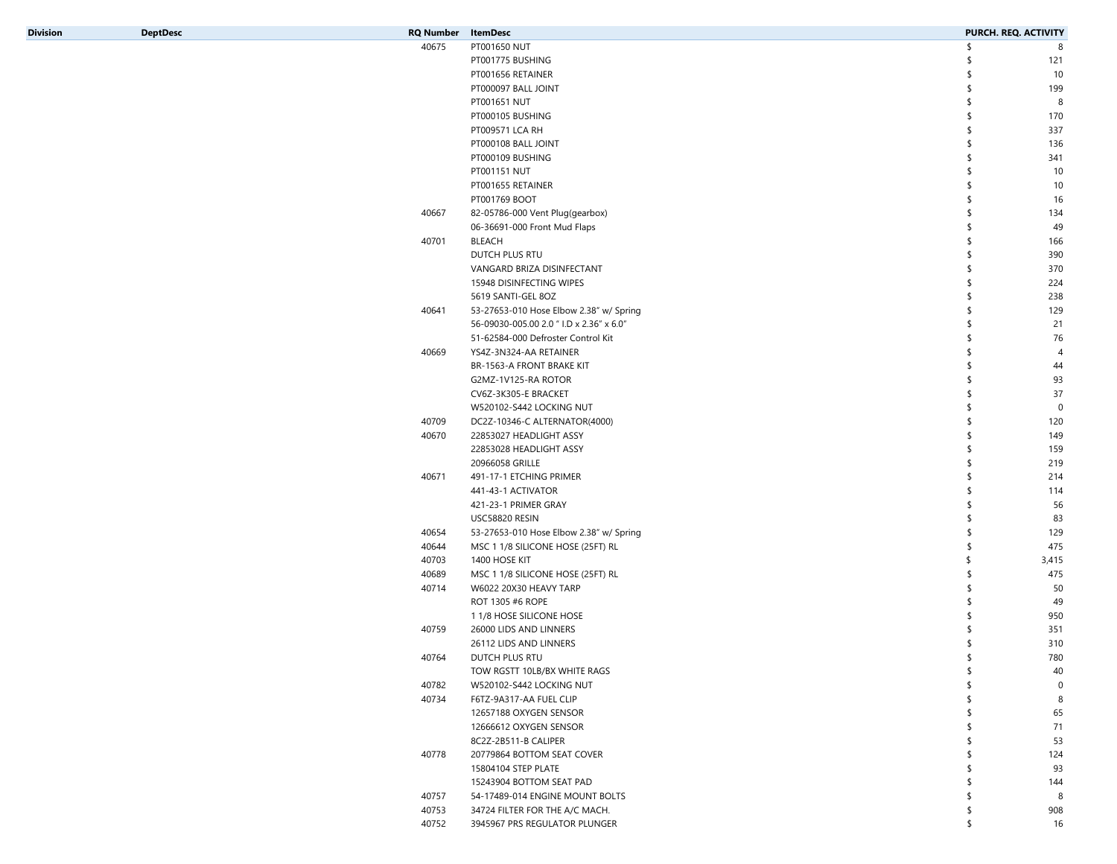| <b>Division</b> |
|-----------------|

| Division | <b>DeptDesc</b> | <b>RQ Number</b> | <b>ItemDesc</b>                          | PURCH. REQ. ACTIVITY |                |
|----------|-----------------|------------------|------------------------------------------|----------------------|----------------|
|          |                 | 40675            | PT001650 NUT                             | ና                    | 8              |
|          |                 |                  | PT001775 BUSHING                         | -S                   | 121            |
|          |                 |                  | PT001656 RETAINER                        | Ŝ                    | 10             |
|          |                 |                  | PT000097 BALL JOINT                      | -S                   | 199            |
|          |                 |                  | PT001651 NUT                             | \$                   | 8              |
|          |                 |                  | PT000105 BUSHING                         | Ŝ                    | 170            |
|          |                 |                  | PT009571 LCA RH                          | \$                   | 337            |
|          |                 |                  | PT000108 BALL JOINT                      | \$                   | 136            |
|          |                 |                  | PT000109 BUSHING                         | Ŝ                    | 341            |
|          |                 |                  | PT001151 NUT                             | -S                   | 10             |
|          |                 |                  | PT001655 RETAINER                        | Ŝ                    | 10             |
|          |                 |                  | PT001769 BOOT                            | \$                   | 16             |
|          |                 | 40667            | 82-05786-000 Vent Plug(gearbox)          | -S                   | 134            |
|          |                 |                  | 06-36691-000 Front Mud Flaps             | Ŝ                    | 49             |
|          |                 | 40701            | BLEACH                                   | \$                   | 166            |
|          |                 |                  | DUTCH PLUS RTU                           |                      | 390            |
|          |                 |                  | VANGARD BRIZA DISINFECTANT               | Ŝ                    | 370            |
|          |                 |                  | 15948 DISINFECTING WIPES                 | \$                   | 224            |
|          |                 |                  | 5619 SANTI-GEL 8OZ                       | \$                   | 238            |
|          |                 | 40641            | 53-27653-010 Hose Elbow 2.38" w/ Spring  | Ŝ                    | 129            |
|          |                 |                  | 56-09030-005.00 2.0 " I.D x 2.36" x 6.0" | \$                   | 21             |
|          |                 |                  | 51-62584-000 Defroster Control Kit       | Ŝ                    | 76             |
|          |                 | 40669            | YS4Z-3N324-AA RETAINER                   | \$                   | $\overline{4}$ |
|          |                 |                  | BR-1563-A FRONT BRAKE KIT                | -S                   | 44             |
|          |                 |                  | G2MZ-1V125-RA ROTOR                      | Ŝ                    | 93             |
|          |                 |                  | CV6Z-3K305-E BRACKET                     | \$                   | 37             |
|          |                 |                  | W520102-S442 LOCKING NUT                 | \$                   | $\mathbf 0$    |
|          |                 | 40709            | DC2Z-10346-C ALTERNATOR(4000)            | Ŝ                    | 120            |
|          |                 | 40670            | 22853027 HEADLIGHT ASSY                  | \$                   | 149            |
|          |                 |                  | 22853028 HEADLIGHT ASSY                  | -S                   | 159            |
|          |                 |                  | 20966058 GRILLE                          | Ŝ                    | 219            |
|          |                 | 40671            | 491-17-1 ETCHING PRIMER                  | -S                   | 214            |
|          |                 |                  | 441-43-1 ACTIVATOR                       | Ŝ                    | 114            |
|          |                 |                  | 421-23-1 PRIMER GRAY                     | -S                   | 56             |
|          |                 |                  | USC58820 RESIN                           | -S                   | 83             |
|          |                 | 40654            |                                          | Ŝ                    | 129            |
|          |                 | 40644            | 53-27653-010 Hose Elbow 2.38" w/ Spring  | \$                   | 475            |
|          |                 |                  | MSC 1 1/8 SILICONE HOSE (25FT) RL        | \$.                  |                |
|          |                 | 40703            | 1400 HOSE KIT                            |                      | 3,415          |
|          |                 | 40689            | MSC 1 1/8 SILICONE HOSE (25FT) RL        | Ŝ                    | 475            |
|          |                 | 40714            | W6022 20X30 HEAVY TARP                   | Ŝ                    | 50             |
|          |                 |                  | ROT 1305 #6 ROPE                         |                      | 49             |
|          |                 |                  | 1 1/8 HOSE SILICONE HOSE                 |                      | 950            |
|          |                 | 40759            | 26000 LIDS AND LINNERS                   |                      | 351            |
|          |                 |                  | 26112 LIDS AND LINNERS                   | S.                   | 310            |
|          |                 | 40764            | DUTCH PLUS RTU                           |                      | 780            |
|          |                 |                  | TOW RGSTT 10LB/BX WHITE RAGS             | \$                   | 40             |
|          |                 | 40782            | W520102-S442 LOCKING NUT                 |                      | $\mathbf 0$    |
|          |                 | 40734            | F6TZ-9A317-AA FUEL CLIP                  |                      | 8              |
|          |                 |                  | 12657188 OXYGEN SENSOR                   | -S                   | 65             |
|          |                 |                  | 12666612 OXYGEN SENSOR                   |                      | 71             |
|          |                 |                  | 8C2Z-2B511-B CALIPER                     |                      | 53             |
|          |                 | 40778            | 20779864 BOTTOM SEAT COVER               |                      | 124            |
|          |                 |                  | 15804104 STEP PLATE                      | s.                   | 93             |
|          |                 |                  | 15243904 BOTTOM SEAT PAD                 | \$                   | 144            |
|          |                 | 40757            | 54-17489-014 ENGINE MOUNT BOLTS          | \$                   | 8              |
|          |                 | 40753            | 34724 FILTER FOR THE A/C MACH.           | \$                   | 908            |
|          |                 | 40752            | 3945967 PRS REGULATOR PLUNGER            | \$                   | 16             |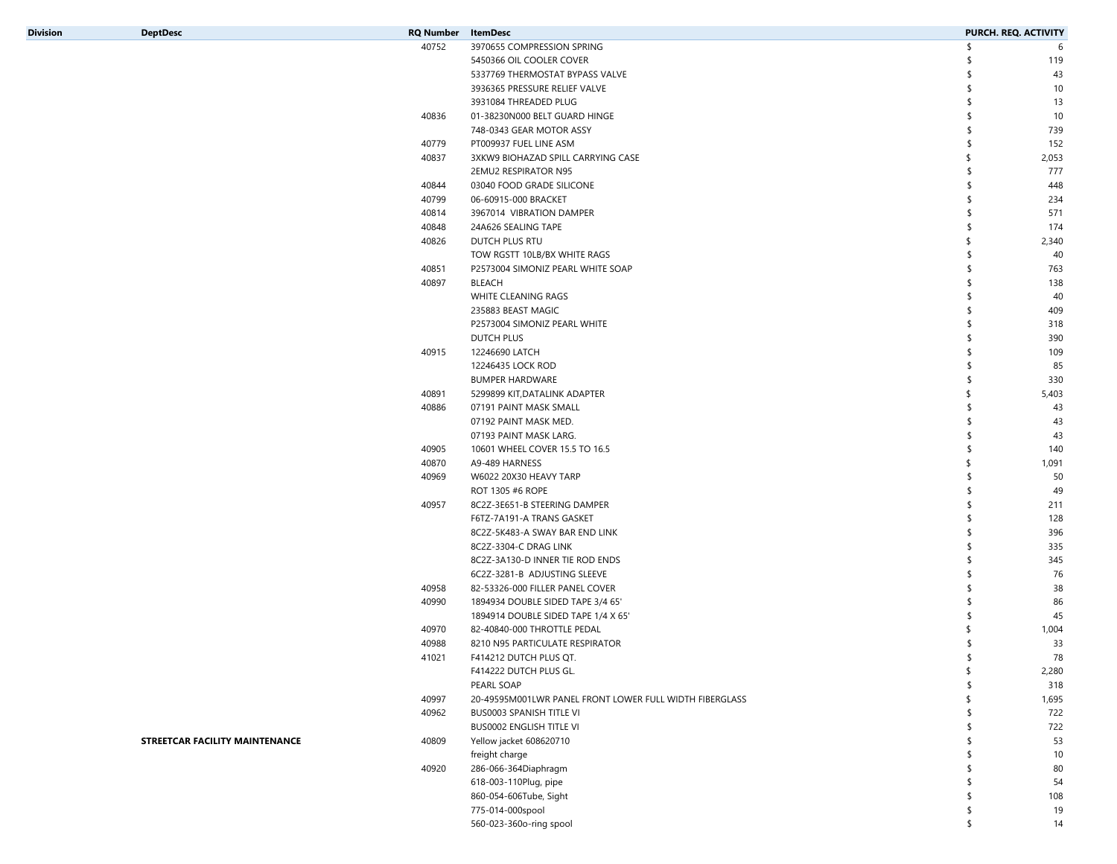| <b>Division</b> |
|-----------------|

| <b>RQ Number</b> | ItemDesc                                                | PURCH. REQ. ACTIVITY |       |
|------------------|---------------------------------------------------------|----------------------|-------|
| 40752            | 3970655 COMPRESSION SPRING                              | \$                   | 6     |
|                  | 5450366 OIL COOLER COVER                                | \$                   | 119   |
|                  | 5337769 THERMOSTAT BYPASS VALVE                         | \$                   | 43    |
|                  | 3936365 PRESSURE RELIEF VALVE                           |                      | 10    |
|                  | 3931084 THREADED PLUG                                   |                      | 13    |
| 40836            | 01-38230N000 BELT GUARD HINGE                           |                      | 10    |
|                  | 748-0343 GEAR MOTOR ASSY                                |                      | 739   |
| 40779            | PT009937 FUEL LINE ASM                                  |                      | 152   |
| 40837            | 3XKW9 BIOHAZAD SPILL CARRYING CASE                      |                      | 2,053 |
|                  | 2EMU2 RESPIRATOR N95                                    |                      | 777   |
| 40844            | 03040 FOOD GRADE SILICONE                               |                      | 448   |
| 40799            | 06-60915-000 BRACKET                                    |                      | 234   |
| 40814            | 3967014 VIBRATION DAMPER                                |                      | 571   |
| 40848            | 24A626 SEALING TAPE                                     |                      | 174   |
| 40826            | DUTCH PLUS RTU                                          |                      | 2,340 |
|                  | TOW RGSTT 10LB/BX WHITE RAGS                            |                      | 40    |
| 40851            | P2573004 SIMONIZ PEARL WHITE SOAP                       |                      | 763   |
| 40897            | BLEACH                                                  |                      | 138   |
|                  | WHITE CLEANING RAGS                                     |                      | 40    |
|                  | 235883 BEAST MAGIC                                      |                      | 409   |
|                  | P2573004 SIMONIZ PEARL WHITE                            |                      | 318   |
|                  | DUTCH PLUS                                              |                      | 390   |
| 40915            | 12246690 LATCH                                          |                      | 109   |
|                  | 12246435 LOCK ROD                                       |                      | 85    |
|                  | BUMPER HARDWARE                                         |                      | 330   |
| 40891            | 5299899 KIT, DATALINK ADAPTER                           |                      | 5,403 |
| 40886            | 07191 PAINT MASK SMALL                                  |                      | 43    |
|                  | 07192 PAINT MASK MED.                                   |                      | 43    |
|                  | 07193 PAINT MASK LARG.                                  |                      | 43    |
| 40905            | 10601 WHEEL COVER 15.5 TO 16.5                          |                      | 140   |
| 40870            | A9-489 HARNESS                                          |                      | 1,091 |
| 40969            | W6022 20X30 HEAVY TARP                                  |                      | 50    |
|                  | ROT 1305 #6 ROPE                                        |                      | 49    |
| 40957            | 8C2Z-3E651-B STEERING DAMPER                            |                      | 211   |
|                  | F6TZ-7A191-A TRANS GASKET                               |                      | 128   |
|                  | 8C2Z-5K483-A SWAY BAR END LINK                          |                      | 396   |
|                  | 8C2Z-3304-C DRAG LINK                                   |                      | 335   |
|                  | 8C2Z-3A130-D INNER TIE ROD ENDS                         |                      | 345   |
|                  | 6C2Z-3281-B ADJUSTING SLEEVE                            |                      | 76    |
| 40958            | 82-53326-000 FILLER PANEL COVER                         |                      | 38    |
| 40990            | 1894934 DOUBLE SIDED TAPE 3/4 65'                       |                      | 86    |
|                  | 1894914 DOUBLE SIDED TAPE 1/4 X 65'                     |                      | 45    |
| 40970            | 82-40840-000 THROTTLE PEDAL                             |                      | 1,004 |
| 40988            | 8210 N95 PARTICULATE RESPIRATOR                         | \$                   | 33    |
| 41021            | F414212 DUTCH PLUS QT.                                  | \$                   | 78    |
|                  | F414222 DUTCH PLUS GL.                                  | \$                   | 2,280 |
|                  | PEARL SOAP                                              |                      | 318   |
| 40997            | 20-49595M001LWR PANEL FRONT LOWER FULL WIDTH FIBERGLASS | \$                   | 1,695 |
| 40962            | BUS0003 SPANISH TITLE VI                                | \$                   | 722   |
|                  | BUS0002 ENGLISH TITLE VI                                | \$                   | 722   |
| 40809            | Yellow jacket 608620710                                 | \$                   | 53    |
|                  | freight charge                                          | \$                   | 10    |
|                  |                                                         |                      |       |

|       | <b>BUS0002 ENGLISH TITLE VI</b> | 722 |
|-------|---------------------------------|-----|
| 40809 | Yellow jacket 608620710         | 53  |
|       | freight charge                  | 10  |
| 40920 | 286-066-364Diaphragm            | 80  |
|       | 618-003-110Plug, pipe           | 54  |
|       | 860-054-606Tube, Sight          | 108 |
|       | 775-014-000spool                | 19  |
|       | 560-023-360o-ring spool         | 14  |

| STREETCAR FACILITY MAINTENANCE |  |
|--------------------------------|--|
|--------------------------------|--|